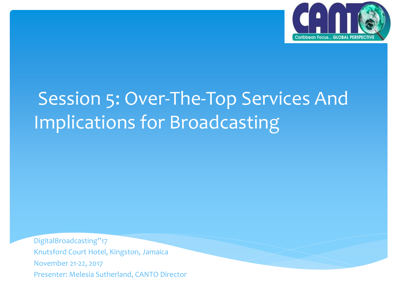

#### Session 5: Over-The-Top Services And Implications for Broadcasting

DigitalBroadcasting"17 Knutsford Court Hotel, Kingston, Jamaica November 21-22, 2017 Presenter: Melesia Sutherland, CANTO Director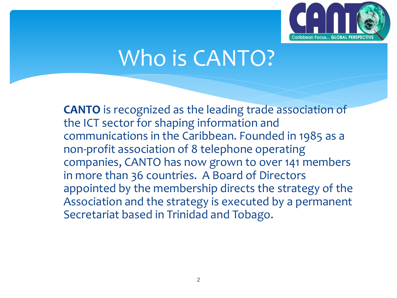

#### Who is CANTO?

**CANTO** is recognized as the leading trade association of the ICT sector for shaping information and communications in the Caribbean. Founded in 1985 as a non-profit association of 8 telephone operating companies, CANTO has now grown to over 141 members in more than 36 countries. A Board of Directors appointed by the membership directs the strategy of the Association and the strategy is executed by a permanent Secretariat based in Trinidad and Tobago.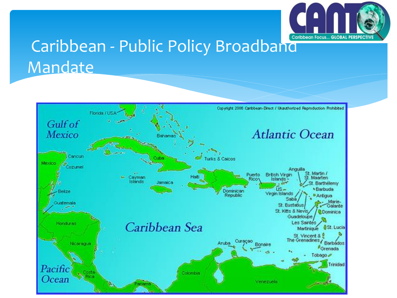

#### Caribbean - Public Policy Broadband Mandate

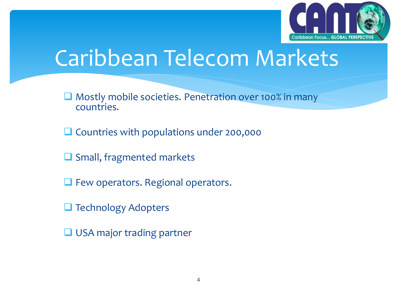

## Caribbean Telecom Markets

- Mostly mobile societies. Penetration over 100% in many countries.
- $\Box$  Countries with populations under 200,000
- $\Box$  Small, fragmented markets
- **Q** Few operators. Regional operators.
- **Technology Adopters**
- **USA major trading partner**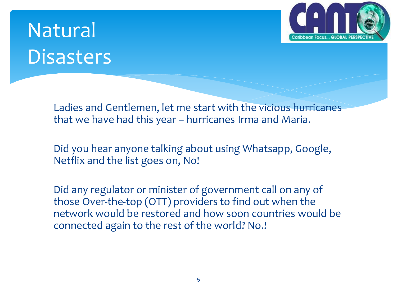# Natural **Disasters**



Ladies and Gentlemen, let me start with the vicious hurricanes that we have had this year – hurricanes Irma and Maria.

Did you hear anyone talking about using Whatsapp, Google, Netflix and the list goes on, No!

Did any regulator or minister of government call on any of those Over-the-top (OTT) providers to find out when the network would be restored and how soon countries would be connected again to the rest of the world? No.!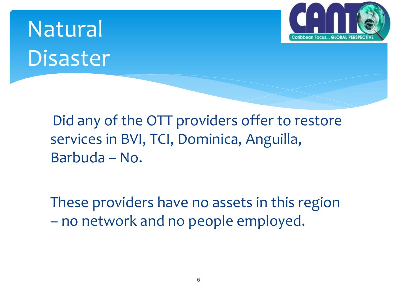# Natural Disaster



Did any of the OTT providers offer to restore services in BVI, TCI, Dominica, Anguilla, Barbuda – No.

These providers have no assets in this region – no network and no people employed.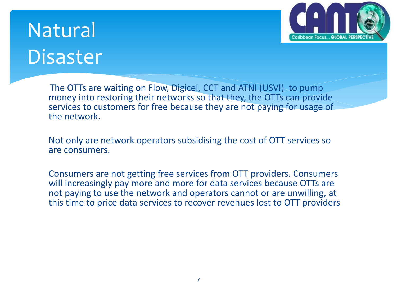

#### Natural Disaster

The OTTs are waiting on Flow, Digicel, CCT and ATNI (USVI) to pump money into restoring their networks so that they, the OTTs can provide services to customers for free because they are not paying for usage of the network.

Not only are network operators subsidising the cost of OTT services so are consumers.

Consumers are not getting free services from OTT providers. Consumers will increasingly pay more and more for data services because OTTs are not paying to use the network and operators cannot or are unwilling, at this time to price data services to recover revenues lost to OTT providers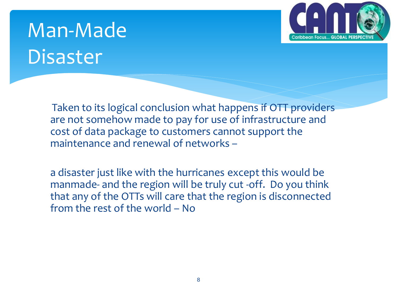# Man-Made Disaster

public



Taken to its logical conclusion what happens if OTT providers are not somehow made to pay for use of infrastructure and cost of data package to customers cannot support the maintenance and renewal of networks –

a disaster just like with the hurricanes except this would be manmade- and the region will be truly cut -off. Do you think that any of the OTTs will care that the region is disconnected from the rest of the world – No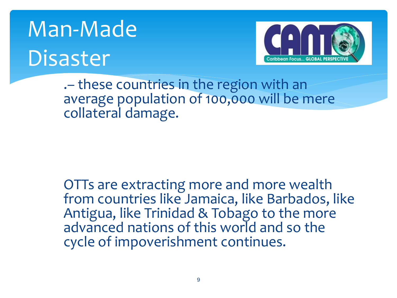# Man-Made Disaster



.– these countries in the region with an average population of 100,000 will be mere collateral damage.

OTTs are extracting more and more wealth from countries like Jamaica, like Barbados, like Antigua, like Trinidad & Tobago to the more advanced nations of this world and so the cycle of impoverishment continues.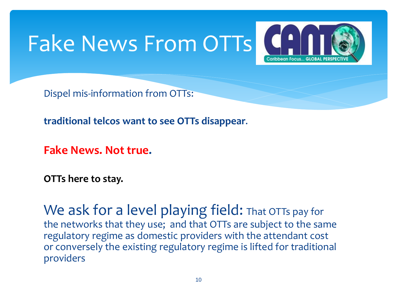# Fake News From OTTs



Dispel mis-information from OTTs:

**traditional telcos want to see OTTs disappear**.

**Fake News. Not true.** 

**OTTs here to stay.** 

We ask for a level playing field: That OTTs pay for the networks that they use; and that OTTs are subject to the same regulatory regime as domestic providers with the attendant cost or conversely the existing regulatory regime is lifted for traditional providers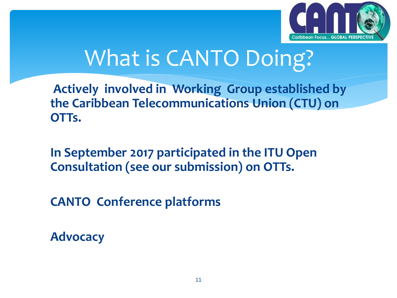

# What is CANTO Doing?

**Actively involved in Working Group established by the Caribbean Telecommunications Union (CTU) on OTTs.**

**In September 2017 participated in the ITU Open Consultation (see our submission) on OTTs.**

**CANTO Conference platforms** 

**Advocacy**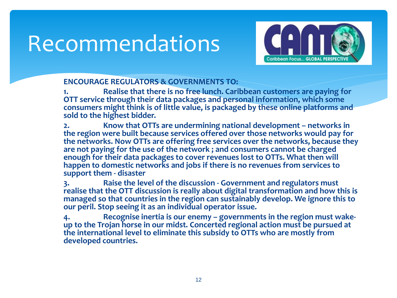#### Recommendations



#### **ENCOURAGE REGULATORS & GOVERNMENTS TO:**

**1. Realise that there is no free lunch. Caribbean customers are paying for OTT service through their data packages and personal information, which some consumers might think is of little value, is packaged by these online platforms and sold to the highest bidder.**

**2. Know that OTTs are undermining national development – networks in the region were built because services offered over those networks would pay for the networks. Now OTTs are offering free services over the networks, because they are not paying for the use of the network ; and consumers cannot be charged enough for their data packages to cover revenues lost to OTTs. What then will happen to domestic networks and jobs if there is no revenues from services to support them - disaster**

**3. Raise the level of the discussion - Government and regulators must realise that the OTT discussion is really about digital transformation and how this is managed so that countries in the region can sustainably develop. We ignore this to our peril. Stop seeing it as an individual operator issue.**

**4. Recognise inertia is our enemy – governments in the region must wakeup to the Trojan horse in our midst. Concerted regional action must be pursued at the international level to eliminate this subsidy to OTTs who are mostly from developed countries.**